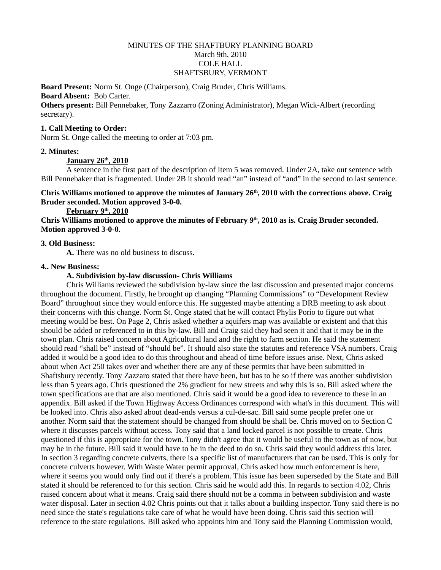# MINUTES OF THE SHAFTBURY PLANNING BOARD March 9th, 2010 COLE HALL SHAFTSBURY, VERMONT

**Board Present:** Norm St. Onge (Chairperson), Craig Bruder, Chris Williams. **Board Absent:** Bob Carter.

**Others present:** Bill Pennebaker, Tony Zazzarro (Zoning Administrator), Megan Wick-Albert (recording secretary).

## **1. Call Meeting to Order:**

Norm St. Onge called the meeting to order at 7:03 pm.

### **2. Minutes:**

 **January 26th , 2010**

A sentence in the first part of the description of Item 5 was removed. Under 2A, take out sentence with Bill Pennebaker that is fragmented. Under 2B it should read "an" instead of "and" in the second to last sentence.

# **Chris Williams motioned to approve the minutes of January 26th, 2010 with the corrections above. Craig Bruder seconded. Motion approved 3-0-0.**

 **February 9th , 2010**

Chris Williams motioned to approve the minutes of February 9<sup>th</sup>, 2010 as is. Craig Bruder seconded. **Motion approved 3-0-0.**

## **3. Old Business:**

**A.** There was no old business to discuss.

### **4.. New Business:**

### **A. Subdivision by-law discussion- Chris Williams**

Chris Williams reviewed the subdivision by-law since the last discussion and presented major concerns throughout the document. Firstly, he brought up changing "Planning Commissions" to "Development Review Board" throughout since they would enforce this. He suggested maybe attenting a DRB meeting to ask about their concerns with this change. Norm St. Onge stated that he will contact Phylis Porio to figure out what meeting would be best. On Page 2, Chris asked whether a aquifers map was available or existent and that this should be added or referenced to in this by-law. Bill and Craig said they had seen it and that it may be in the town plan. Chris raised concern about Agricultural land and the right to farm section. He said the statement should read "shall be" instead of "should be". It should also state the statutes and reference VSA numbers. Craig added it would be a good idea to do this throughout and ahead of time before issues arise. Next, Chris asked about when Act 250 takes over and whether there are any of these permits that have been submitted in Shaftsbury recently. Tony Zazzaro stated that there have been, but has to be so if there was another subdivision less than 5 years ago. Chris questioned the 2% gradient for new streets and why this is so. Bill asked where the town specifications are that are also mentioned. Chris said it would be a good idea to reverence to these in an appendix. Bill asked if the Town Highway Access Ordinances correspond with what's in this document. This will be looked into. Chris also asked about dead-ends versus a cul-de-sac. Bill said some people prefer one or another. Norm said that the statement should be changed from should be shall be. Chris moved on to Section C where it discusses parcels without access. Tony said that a land locked parcel is not possible to create. Chris questioned if this is appropriate for the town. Tony didn't agree that it would be useful to the town as of now, but may be in the future. Bill said it would have to be in the deed to do so. Chris said they would address this later. In section 3 regarding concrete culverts, there is a specific list of manufacturers that can be used. This is only for concrete culverts however. With Waste Water permit approval, Chris asked how much enforcement is here, where it seems you would only find out if there's a problem. This issue has been superseded by the State and Bill stated it should be referenced to for this section. Chris said he would add this. In regards to section 4.02, Chris raised concern about what it means. Craig said there should not be a comma in between subdivision and waste water disposal. Later in section 4.02 Chris points out that it talks about a building inspector. Tony said there is no need since the state's regulations take care of what he would have been doing. Chris said this section will reference to the state regulations. Bill asked who appoints him and Tony said the Planning Commission would,